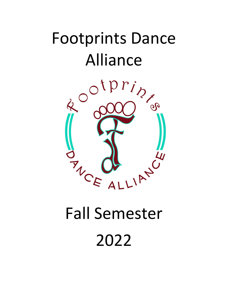# Footprints Dance



# Fall Semester 2022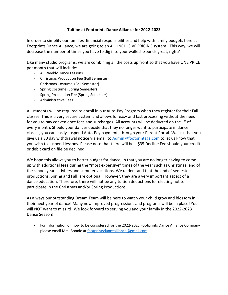# **Tuition at Footprints Dance Alliance for 2022-2023**

In order to simplify our families' financial responsibilities and help with family budgets here at Footprints Dance Alliance, we are going to an ALL INCLUSIVE PRICING system! This way, we will decrease the number of times you have to dig into your wallet! Sounds great, right?

Like many studio programs, we are combining all the costs up front so that you have ONE PRICE per month that will include:

- All Weekly Dance Lessons
- Christmas Production Fee (Fall Semester)
- Christmas Costume (Fall Semester)
- Spring Costume (Spring Semester)
- Spring Production Fee (Spring Semester)
- Administrative Fees

All students will be required to enroll in our Auto-Pay Program when they register for their Fall classes. This is a very secure system and allows for easy and fast processing without the need for you to pay convenience fees and surcharges. All accounts will be deducted on the  $1<sup>st</sup>$  of every month. Should your dancer decide that they no longer want to participate in dance classes, you can easily suspend Auto-Pay payments through your Parent Portal. We ask that you give us a 30 day withdrawal notice via email to Admin@footprintsga.com to let us know that you wish to suspend lessons. Please note that there will be a \$35 Decline Fee should your credit or debit card on file be declined.

We hope this allows you to better budget for dance, in that you are no longer having to come up with additional fees during the "most expensive" times of the year such as Christmas, end of the school year activities and summer vacations. We understand that the end of semester productions, Spring and Fall, are optional. However, they are a very important aspect of a dance education. Therefore, there will not be any tuition deductions for electing not to participate in the Christmas and/or Spring Productions.

As always our outstanding Dream Team will be here to watch your child grow and blossom in their next year of dance! Many new improved progressions and programs will be in place! You will NOT want to miss it!! We look forward to serving you and your family in the 2022-2023 Dance Season!

• For Information on how to be considered for the 2022-2023 Footprints Dance Alliance Company please email Mrs. Bonnie at footprintsdancealliance@gmail.com.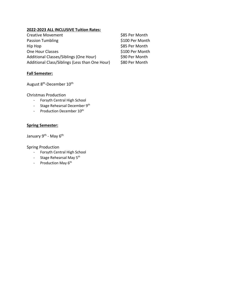# **2022-2023 ALL INCLUSIVE Tuition Rates:**

| <b>Creative Movement</b>                       | \$85 Per Month  |
|------------------------------------------------|-----------------|
| <b>Passion Tumbling</b>                        | \$100 Per Month |
| Hip Hop                                        | \$85 Per Month  |
| One Hour Classes                               | \$100 Per Month |
| Additional Classes/Siblings (One Hour)         | \$90 Per Month  |
| Additional Class/Siblings (Less than One Hour) | \$80 Per Month  |

# **Fall Semester:**

August  $8^{\text{th}}$ -December  $10^{\text{th}}$ 

Christmas Production

- Forsyth Central High School
- Stage Rehearsal December 9<sup>th</sup>
- Production December  $10^{th}$

# **Spring Semester:**

January 9<sup>th</sup> - May 6<sup>th</sup>

Spring Production

- Forsyth Central High School
- Stage Rehearsal May 5<sup>th</sup>
- Production May 6<sup>th</sup>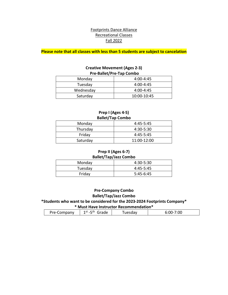# Footprints Dance Alliance Recreational Classes Fall 2022

**Please note that all classes with less than 5 students are subject to cancelation**

# **Creative Movement (Ages 2-3) Pre-Ballet/Pre-Tap Combo**

| Monday    | $4:00 - 4:45$ |
|-----------|---------------|
| Tuesday   | $4:00 - 4:45$ |
| Wednesday | $4:00 - 4:45$ |
| Saturday  | 10:00-10:45   |

#### **Prep I (Ages 4-5) Ballet/Tap Combo**

| $   -$   |               |  |
|----------|---------------|--|
| Monday   | $4:45 - 5:45$ |  |
| Thursday | 4:30-5:30     |  |
| Friday   | $4:45 - 5:45$ |  |
| Saturday | 11:00-12:00   |  |

#### **Prep II (Ages 6-7) Ballet/Tap/Jazz Combo**

| $ \cdots$ $\cdots$ $\cdots$ $\cdots$ $\cdots$ |               |  |
|-----------------------------------------------|---------------|--|
| Monday                                        | 4:30-5:30     |  |
| Tuesday                                       | $4:45 - 5:45$ |  |
| Friday                                        | $5:45-6:45$   |  |

## **Pre-Company Combo Ballet/Tap/Jazz Combo \*Students who want to be considered for the 2023-2024 Footprints Company\* \* Must Have Instructor Recommendation\***

| <u>KRUSLIIGVE IIISLIULLUI KELUIIIIIEIIUGUUII</u> |                     |         |               |
|--------------------------------------------------|---------------------|---------|---------------|
| Pre-Company                                      | `rade<br>l SL<br>-- | Tuesdav | 00:'<br>J:UU∹ |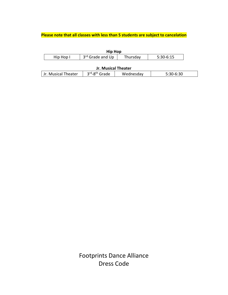# **Please note that all classes with less than 5 students are subject to cancelation**

| <b>Hip Hop</b> |                              |          |           |
|----------------|------------------------------|----------|-----------|
| Hip Hop I      | 3 <sup>rd</sup> Grade and Up | Thursday | 5:30-6:15 |

# **Jr. Musical Theater**

| $-120$ | - - - -             |                           |           |  |
|--------|---------------------|---------------------------|-----------|--|
|        | Jr. Musical Theater | 3rd-8 <sup>th</sup> Grade | Wednesdav |  |

Footprints Dance Alliance Dress Code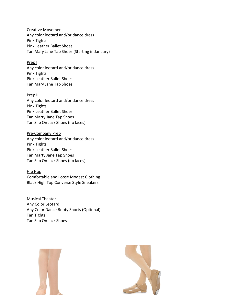Creative Movement Any color leotard and/or dance dress Pink Tights Pink Leather Ballet Shoes Tan Mary Jane Tap Shoes (Starting in January)

#### Prep I

Any color leotard and/or dance dress Pink Tights Pink Leather Ballet Shoes Tan Mary Jane Tap Shoes

#### Prep II

Any color leotard and/or dance dress Pink Tights Pink Leather Ballet Shoes Tan Marty Jane Tap Shoes Tan Slip On Jazz Shoes (no laces)

Pre-Company Prep Any color leotard and/or dance dress Pink Tights Pink Leather Ballet Shoes Tan Marty Jane Tap Shoes Tan Slip On Jazz Shoes (no laces)

Hip Hop Comfortable and Loose Modest Clothing Black High Top Converse Style Sneakers

Musical Theater Any Color Leotard Any Color Dance Booty Shorts (Optional) Tan Tights Tan Slip On Jazz Shoes



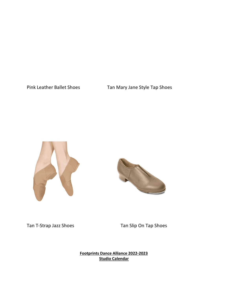Pink Leather Ballet Shoes Tan Mary Jane Style Tap Shoes





Tan T-Strap Jazz Shoes Tan Slip On Tap Shoes

**Footprints Dance Alliance 2022-2023 Studio Calendar**